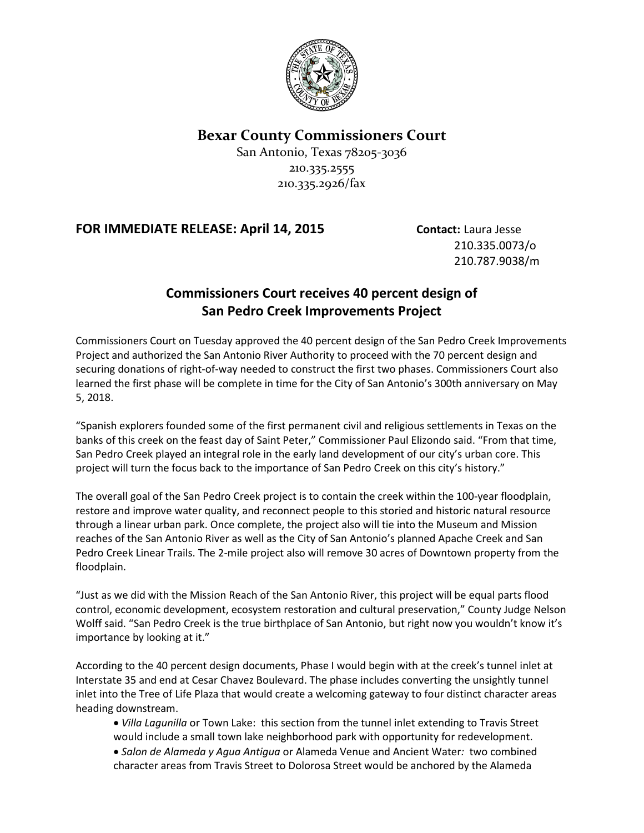

#### **Bexar County Commissioners Court**

San Antonio, Texas 78205-3036 210.335.2555 210.335.2926/fax

#### **FOR IMMEDIATE RELEASE: April 14, 2015 Contact:** Laura Jesse

210.335.0073/o 210.787.9038/m

### **Commissioners Court receives 40 percent design of San Pedro Creek Improvements Project**

Commissioners Court on Tuesday approved the 40 percent design of the San Pedro Creek Improvements Project and authorized the San Antonio River Authority to proceed with the 70 percent design and securing donations of right-of-way needed to construct the first two phases. Commissioners Court also learned the first phase will be complete in time for the City of San Antonio's 300th anniversary on May 5, 2018.

"Spanish explorers founded some of the first permanent civil and religious settlements in Texas on the banks of this creek on the feast day of Saint Peter," Commissioner Paul Elizondo said. "From that time, San Pedro Creek played an integral role in the early land development of our city's urban core. This project will turn the focus back to the importance of San Pedro Creek on this city's history."

The overall goal of the San Pedro Creek project is to contain the creek within the 100-year floodplain, restore and improve water quality, and reconnect people to this storied and historic natural resource through a linear urban park. Once complete, the project also will tie into the Museum and Mission reaches of the San Antonio River as well as the City of San Antonio's planned Apache Creek and San Pedro Creek Linear Trails. The 2-mile project also will remove 30 acres of Downtown property from the floodplain.

"Just as we did with the Mission Reach of the San Antonio River, this project will be equal parts flood control, economic development, ecosystem restoration and cultural preservation," County Judge Nelson Wolff said. "San Pedro Creek is the true birthplace of San Antonio, but right now you wouldn't know it's importance by looking at it."

According to the 40 percent design documents, Phase I would begin with at the creek's tunnel inlet at Interstate 35 and end at Cesar Chavez Boulevard. The phase includes converting the unsightly tunnel inlet into the Tree of Life Plaza that would create a welcoming gateway to four distinct character areas heading downstream.

- *Villa Lagunilla* or Town Lake: this section from the tunnel inlet extending to Travis Street would include a small town lake neighborhood park with opportunity for redevelopment.
- *Salon de Alameda y Agua Antigua* or Alameda Venue and Ancient Water*:* two combined character areas from Travis Street to Dolorosa Street would be anchored by the Alameda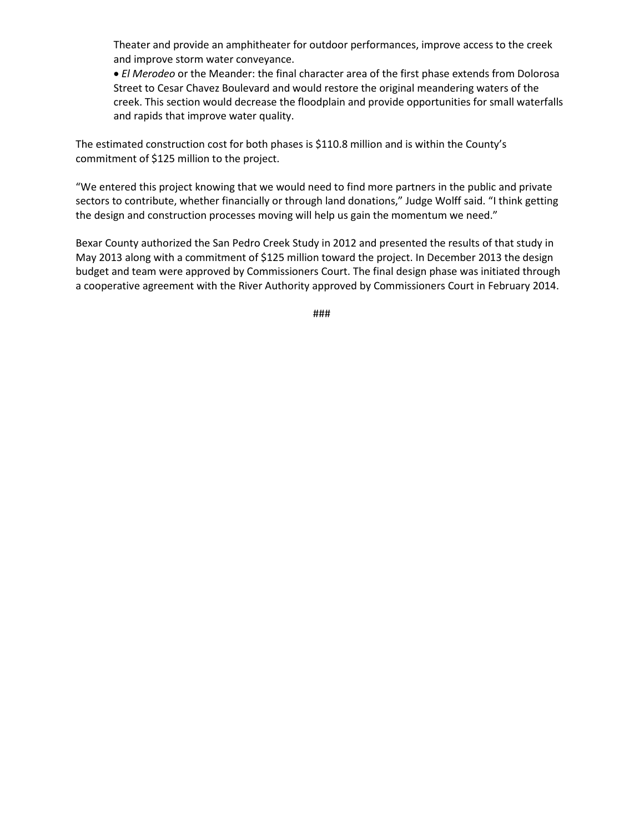Theater and provide an amphitheater for outdoor performances, improve access to the creek and improve storm water conveyance.

• *El Merodeo* or the Meander: the final character area of the first phase extends from Dolorosa Street to Cesar Chavez Boulevard and would restore the original meandering waters of the creek. This section would decrease the floodplain and provide opportunities for small waterfalls and rapids that improve water quality.

The estimated construction cost for both phases is \$110.8 million and is within the County's commitment of \$125 million to the project.

"We entered this project knowing that we would need to find more partners in the public and private sectors to contribute, whether financially or through land donations," Judge Wolff said. "I think getting the design and construction processes moving will help us gain the momentum we need."

Bexar County authorized the San Pedro Creek Study in 2012 and presented the results of that study in May 2013 along with a commitment of \$125 million toward the project. In December 2013 the design budget and team were approved by Commissioners Court. The final design phase was initiated through a cooperative agreement with the River Authority approved by Commissioners Court in February 2014.

###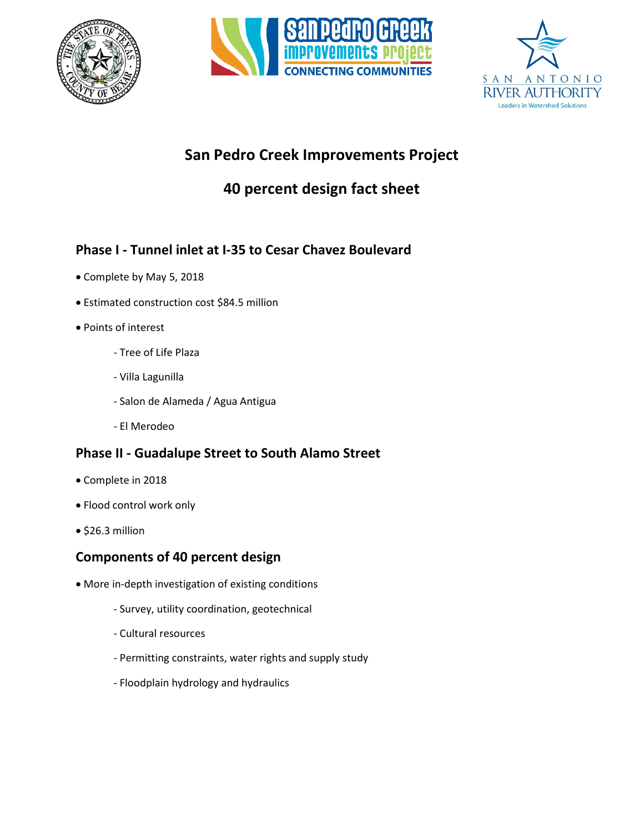





# **San Pedro Creek Improvements Project**

# **40 percent design fact sheet**

# **Phase I - Tunnel inlet at I-35 to Cesar Chavez Boulevard**

- Complete by May 5, 2018
- Estimated construction cost \$84.5 million
- Points of interest
	- Tree of Life Plaza
	- Villa Lagunilla
	- Salon de Alameda / Agua Antigua
	- El Merodeo

## **Phase II - Guadalupe Street to South Alamo Street**

- Complete in 2018
- Flood control work only
- \$26.3 million

## **Components of 40 percent design**

- More in-depth investigation of existing conditions
	- Survey, utility coordination, geotechnical
	- Cultural resources
	- Permitting constraints, water rights and supply study
	- Floodplain hydrology and hydraulics